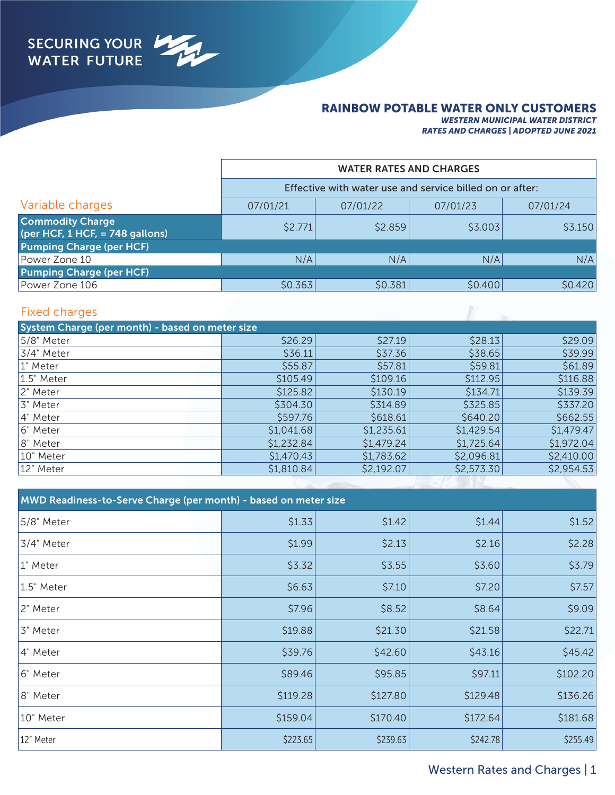## RAINBOW POTABLE WATER ONLY CUSTOMERS

*WESTERN MUNICIPAL WATER DISTRICT RATES AND CHARGES | ADOPTED JUNE 2021*

|                                                            | <b>WATER RATES AND CHARGES</b><br>Effective with water use and service billed on or after: |          |          |          |
|------------------------------------------------------------|--------------------------------------------------------------------------------------------|----------|----------|----------|
|                                                            |                                                                                            |          |          |          |
| Variable charges                                           | 07/01/21                                                                                   | 07/01/22 | 07/01/23 | 07/01/24 |
| <b>Commodity Charge</b><br>(per HCF, 1 HCF, = 748 gallons) | \$2.771                                                                                    | \$2.859  | \$3.003  | \$3.150  |
| <b>Pumping Charge (per HCF)</b>                            |                                                                                            |          |          |          |
| Power Zone 10                                              | N/A                                                                                        | N/A      | N/A      | N/A      |
| <b>Pumping Charge (per HCF)</b>                            |                                                                                            |          |          |          |
| Power Zone 106                                             | \$0.363                                                                                    | \$0.381  | \$0.400  | \$0.420  |

## Fixed charges

| System Charge (per month) - based on meter size |            |            |            |            |
|-------------------------------------------------|------------|------------|------------|------------|
| 5/8" Meter                                      | \$26.29    | \$27.19    | \$28.13    | \$29.09    |
| 3/4" Meter                                      | \$36.11    | \$37.36    | \$38.65    | \$39.99    |
| 1" Meter                                        | \$55.87    | \$57.81    | \$59.81    | \$61.89    |
| 1.5" Meter                                      | \$105.49   | \$109.16   | \$112.95   | \$116.88   |
| 2" Meter                                        | \$125.82   | \$130.19   | \$134.71   | \$139.39   |
| 3" Meter                                        | \$304.30   | \$314.89   | \$325.85   | \$337.20   |
| 4" Meter                                        | \$597.76   | \$618.61   | \$640.20   | \$662.55   |
| 6" Meter                                        | \$1,041.68 | \$1,235.61 | \$1,429.54 | \$1,479.47 |
| 8" Meter                                        | \$1,232.84 | \$1,479.24 | \$1,725.64 | \$1,972.04 |
| 10" Meter                                       | \$1,470.43 | \$1,783.62 | \$2,096.81 | \$2,410.00 |
| 12" Meter                                       | \$1,810.84 | \$2,192.07 | \$2,573.30 | \$2,954.53 |
|                                                 |            |            |            |            |

| MWD Readiness-to-Serve Charge (per month) - based on meter size |          |          |          |          |  |
|-----------------------------------------------------------------|----------|----------|----------|----------|--|
| 5/8" Meter                                                      | \$1.33   | \$1.42   | \$1.44   | \$1.52   |  |
| 3/4" Meter                                                      | \$1.99   | \$2.13   | \$2.16   | \$2.28   |  |
| 1" Meter                                                        | \$3.32   | \$3.55   | \$3.60   | \$3.79   |  |
| 1.5" Meter                                                      | \$6.63   | \$7.10   | \$7.20   | \$7.57   |  |
| 2" Meter                                                        | \$7.96   | \$8.52   | \$8.64   | \$9.09   |  |
| 3" Meter                                                        | \$19.88  | \$21.30  | \$21.58  | \$22.71  |  |
| 4" Meter                                                        | \$39.76  | \$42.60  | \$43.16  | \$45.42  |  |
| 6" Meter                                                        | \$89.46  | \$95.85  | \$97.11  | \$102.20 |  |
| 8" Meter                                                        | \$119.28 | \$127.80 | \$129.48 | \$136.26 |  |
| 10" Meter                                                       | \$159.04 | \$170.40 | \$172.64 | \$181.68 |  |
| 12" Meter                                                       | \$223.65 | \$239.63 | \$242.78 | \$255.49 |  |

## Western Rates and Charges | 1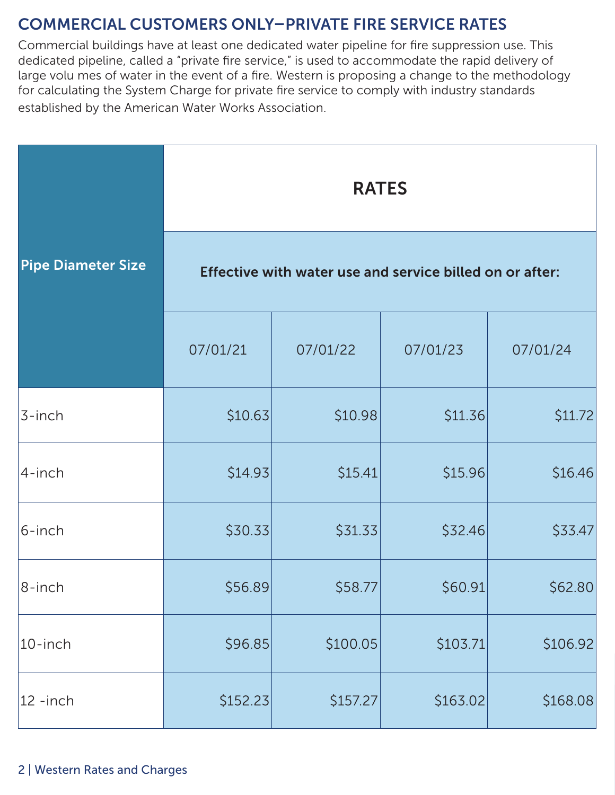# COMMERCIAL CUSTOMERS ONLY–PRIVATE FIRE SERVICE RATES

Commercial buildings have at least one dedicated water pipeline for fire suppression use. This dedicated pipeline, called a "private fire service," is used to accommodate the rapid delivery of large volu mes of water in the event of a fire. Western is proposing a change to the methodology for calculating the System Charge for private fire service to comply with industry standards established by the American Water Works Association.

|                           | <b>RATES</b>                                             |          |          |          |  |
|---------------------------|----------------------------------------------------------|----------|----------|----------|--|
| <b>Pipe Diameter Size</b> | Effective with water use and service billed on or after: |          |          |          |  |
|                           | 07/01/21                                                 | 07/01/22 | 07/01/23 | 07/01/24 |  |
| 3-inch                    | \$10.63                                                  | \$10.98  | \$11.36  | \$11.72  |  |
| 4-inch                    | \$14.93                                                  | \$15.41  | \$15.96  | \$16.46  |  |
| 6-inch                    | \$30.33                                                  | \$31.33  | \$32.46  | \$33.47  |  |
| $ 8$ -inch                | \$56.89                                                  | \$58.77  | \$60.91  | \$62.80  |  |
| 10-inch                   | \$96.85                                                  | \$100.05 | \$103.71 | \$106.92 |  |
| $ 12 -$ inch              | \$152.23                                                 | \$157.27 | \$163.02 | \$168.08 |  |

## 2 | Western Rates and Charges